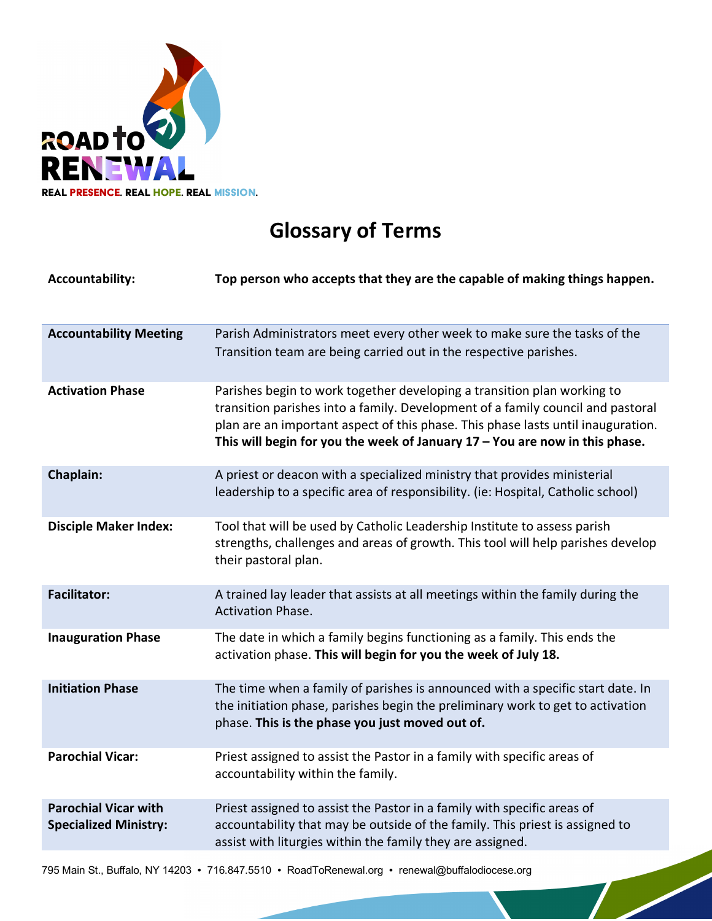

## **Glossary of Terms**

| <b>Accountability:</b>                                      | Top person who accepts that they are the capable of making things happen.                                                                                                                                                                                                                                                       |
|-------------------------------------------------------------|---------------------------------------------------------------------------------------------------------------------------------------------------------------------------------------------------------------------------------------------------------------------------------------------------------------------------------|
| <b>Accountability Meeting</b>                               | Parish Administrators meet every other week to make sure the tasks of the<br>Transition team are being carried out in the respective parishes.                                                                                                                                                                                  |
| <b>Activation Phase</b>                                     | Parishes begin to work together developing a transition plan working to<br>transition parishes into a family. Development of a family council and pastoral<br>plan are an important aspect of this phase. This phase lasts until inauguration.<br>This will begin for you the week of January $17 -$ You are now in this phase. |
| Chaplain:                                                   | A priest or deacon with a specialized ministry that provides ministerial<br>leadership to a specific area of responsibility. (ie: Hospital, Catholic school)                                                                                                                                                                    |
| <b>Disciple Maker Index:</b>                                | Tool that will be used by Catholic Leadership Institute to assess parish<br>strengths, challenges and areas of growth. This tool will help parishes develop<br>their pastoral plan.                                                                                                                                             |
| <b>Facilitator:</b>                                         | A trained lay leader that assists at all meetings within the family during the<br><b>Activation Phase.</b>                                                                                                                                                                                                                      |
| <b>Inauguration Phase</b>                                   | The date in which a family begins functioning as a family. This ends the<br>activation phase. This will begin for you the week of July 18.                                                                                                                                                                                      |
| <b>Initiation Phase</b>                                     | The time when a family of parishes is announced with a specific start date. In<br>the initiation phase, parishes begin the preliminary work to get to activation<br>phase. This is the phase you just moved out of.                                                                                                             |
| <b>Parochial Vicar:</b>                                     | Priest assigned to assist the Pastor in a family with specific areas of<br>accountability within the family.                                                                                                                                                                                                                    |
| <b>Parochial Vicar with</b><br><b>Specialized Ministry:</b> | Priest assigned to assist the Pastor in a family with specific areas of<br>accountability that may be outside of the family. This priest is assigned to<br>assist with liturgies within the family they are assigned.                                                                                                           |

795 Main St., Buffalo, NY 14203 • 716.847.5510 • RoadToRenewal.org • renewal@buffalodiocese.org